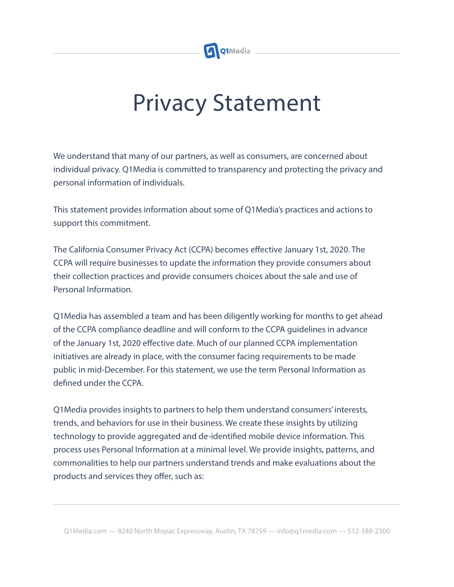

## Privacy Statement

We understand that many of our partners, as well as consumers, are concerned about individual privacy. Q1Media is committed to transparency and protecting the privacy and personal information of individuals.

This statement provides information about some of Q1Media's practices and actions to support this commitment.

The California Consumer Privacy Act (CCPA) becomes effective January 1st, 2020. The CCPA will require businesses to update the information they provide consumers about their collection practices and provide consumers choices about the sale and use of Personal Information.

Q1Media has assembled a team and has been diligently working for months to get ahead of the CCPA compliance deadline and will conform to the CCPA guidelines in advance of the January 1st, 2020 effective date. Much of our planned CCPA implementation initiatives are already in place, with the consumer facing requirements to be made public in mid-December. For this statement, we use the term Personal Information as defined under the CCPA.

Q1Media provides insights to partners to help them understand consumers' interests, trends, and behaviors for use in their business. We create these insights by utilizing technology to provide aggregated and de-identified mobile device information. This process uses Personal Information at a minimal level. We provide insights, patterns, and commonalities to help our partners understand trends and make evaluations about the products and services they offer, such as: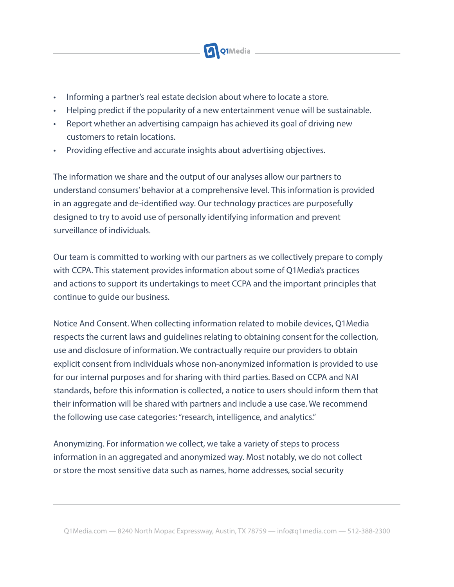

- Informing a partner's real estate decision about where to locate a store.
- Helping predict if the popularity of a new entertainment venue will be sustainable.
- Report whether an advertising campaign has achieved its goal of driving new customers to retain locations.
- Providing effective and accurate insights about advertising objectives.

The information we share and the output of our analyses allow our partners to understand consumers' behavior at a comprehensive level. This information is provided in an aggregate and de-identified way. Our technology practices are purposefully designed to try to avoid use of personally identifying information and prevent surveillance of individuals.

Our team is committed to working with our partners as we collectively prepare to comply with CCPA. This statement provides information about some of Q1Media's practices and actions to support its undertakings to meet CCPA and the important principles that continue to guide our business.

Notice And Consent. When collecting information related to mobile devices, Q1Media respects the current laws and guidelines relating to obtaining consent for the collection, use and disclosure of information. We contractually require our providers to obtain explicit consent from individuals whose non-anonymized information is provided to use for our internal purposes and for sharing with third parties. Based on CCPA and NAI standards, before this information is collected, a notice to users should inform them that their information will be shared with partners and include a use case. We recommend the following use case categories: "research, intelligence, and analytics."

Anonymizing. For information we collect, we take a variety of steps to process information in an aggregated and anonymized way. Most notably, we do not collect or store the most sensitive data such as names, home addresses, social security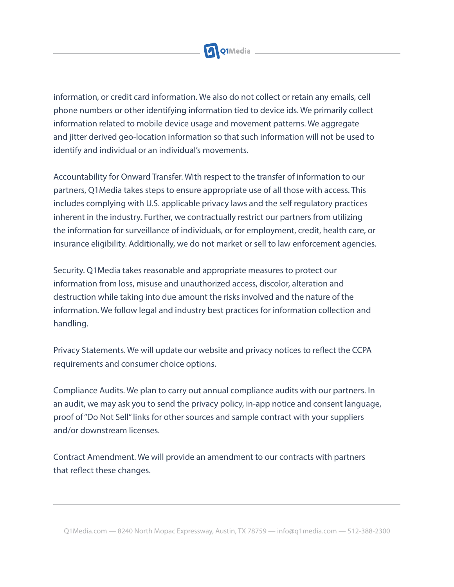

information, or credit card information. We also do not collect or retain any emails, cell phone numbers or other identifying information tied to device ids. We primarily collect information related to mobile device usage and movement patterns. We aggregate and jitter derived geo-location information so that such information will not be used to identify and individual or an individual's movements.

Accountability for Onward Transfer. With respect to the transfer of information to our partners, Q1Media takes steps to ensure appropriate use of all those with access. This includes complying with U.S. applicable privacy laws and the self regulatory practices inherent in the industry. Further, we contractually restrict our partners from utilizing the information for surveillance of individuals, or for employment, credit, health care, or insurance eligibility. Additionally, we do not market or sell to law enforcement agencies.

Security. Q1Media takes reasonable and appropriate measures to protect our information from loss, misuse and unauthorized access, discolor, alteration and destruction while taking into due amount the risks involved and the nature of the information. We follow legal and industry best practices for information collection and handling.

Privacy Statements. We will update our website and privacy notices to reflect the CCPA requirements and consumer choice options.

Compliance Audits. We plan to carry out annual compliance audits with our partners. In an audit, we may ask you to send the privacy policy, in-app notice and consent language, proof of "Do Not Sell" links for other sources and sample contract with your suppliers and/or downstream licenses.

Contract Amendment. We will provide an amendment to our contracts with partners that reflect these changes.